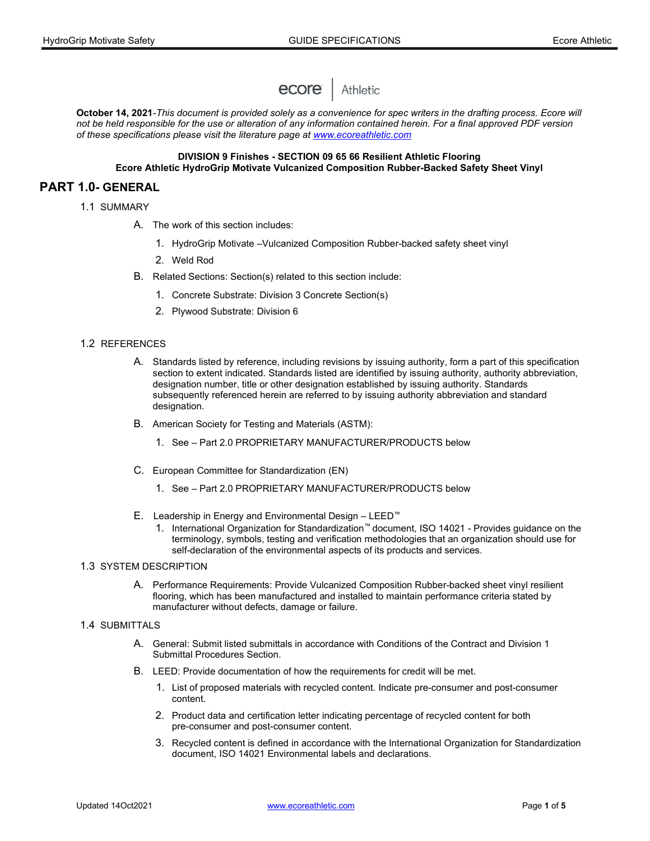

October 14, 2021-This document is provided solely as a convenience for spec writers in the drafting process. Ecore will not be held responsible for the use or alteration of any information contained herein. For a final approved PDF version of these specifications please visit the literature page at www.ecoreathletic.com

### DIVISION 9 Finishes - SECTION 09 65 66 Resilient Athletic Flooring Ecore Athletic HydroGrip Motivate Vulcanized Composition Rubber-Backed Safety Sheet Vinyl

# PART 1.0- GENERAL

- 1.1 SUMMARY
	- A. The work of this section includes:
		- 1. HydroGrip Motivate –Vulcanized Composition Rubber-backed safety sheet vinyl
		- 2. Weld Rod
	- B. Related Sections: Section(s) related to this section include:
		- 1. Concrete Substrate: Division 3 Concrete Section(s)
		- 2. Plywood Substrate: Division 6

### 1.2 REFERENCES

- A. Standards listed by reference, including revisions by issuing authority, form a part of this specification section to extent indicated. Standards listed are identified by issuing authority, authority abbreviation, designation number, title or other designation established by issuing authority. Standards subsequently referenced herein are referred to by issuing authority abbreviation and standard designation.
- B. American Society for Testing and Materials (ASTM):
	- 1. See Part 2.0 PROPRIETARY MANUFACTURER/PRODUCTS below
- C. European Committee for Standardization (EN)
	- 1. See Part 2.0 PROPRIETARY MANUFACTURER/PRODUCTS below
- E. Leadership in Energy and Environmental Design LEED™
	- 1. International Organization for Standardization™ document, ISO 14021 Provides guidance on the terminology, symbols, testing and verification methodologies that an organization should use for self-declaration of the environmental aspects of its products and services.

### 1.3 SYSTEM DESCRIPTION

A. Performance Requirements: Provide Vulcanized Composition Rubber-backed sheet vinyl resilient flooring, which has been manufactured and installed to maintain performance criteria stated by manufacturer without defects, damage or failure.

### 1.4 SUBMITTALS

- A. General: Submit listed submittals in accordance with Conditions of the Contract and Division 1 Submittal Procedures Section.
- B. LEED: Provide documentation of how the requirements for credit will be met.
	- 1. List of proposed materials with recycled content. Indicate pre-consumer and post-consumer content.
	- 2. Product data and certification letter indicating percentage of recycled content for both pre-consumer and post-consumer content.
	- 3. Recycled content is defined in accordance with the International Organization for Standardization document, ISO 14021 Environmental labels and declarations.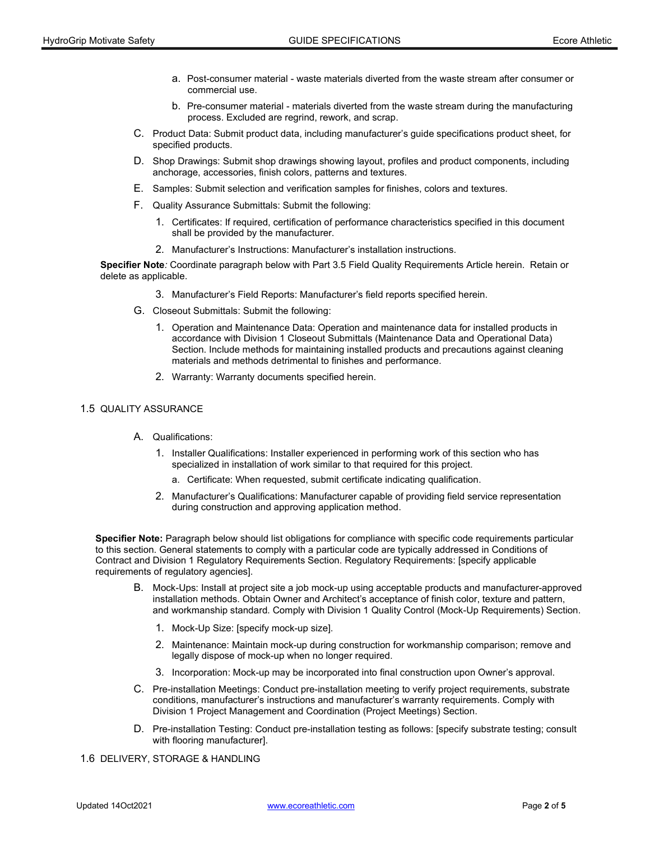- a. Post-consumer material waste materials diverted from the waste stream after consumer or commercial use.
- b. Pre-consumer material materials diverted from the waste stream during the manufacturing process. Excluded are regrind, rework, and scrap.
- C. Product Data: Submit product data, including manufacturer's guide specifications product sheet, for specified products.
- D. Shop Drawings: Submit shop drawings showing layout, profiles and product components, including anchorage, accessories, finish colors, patterns and textures.
- E. Samples: Submit selection and verification samples for finishes, colors and textures.
- F. Quality Assurance Submittals: Submit the following:
	- 1. Certificates: If required, certification of performance characteristics specified in this document shall be provided by the manufacturer.
	- 2. Manufacturer's Instructions: Manufacturer's installation instructions.

Specifier Note: Coordinate paragraph below with Part 3.5 Field Quality Requirements Article herein. Retain or delete as applicable.

- 3. Manufacturer's Field Reports: Manufacturer's field reports specified herein.
- G. Closeout Submittals: Submit the following:
	- 1. Operation and Maintenance Data: Operation and maintenance data for installed products in accordance with Division 1 Closeout Submittals (Maintenance Data and Operational Data) Section. Include methods for maintaining installed products and precautions against cleaning materials and methods detrimental to finishes and performance.
	- 2. Warranty: Warranty documents specified herein.

### 1.5 QUALITY ASSURANCE

- A. Qualifications:
	- 1. Installer Qualifications: Installer experienced in performing work of this section who has specialized in installation of work similar to that required for this project.
		- a. Certificate: When requested, submit certificate indicating qualification.
	- 2. Manufacturer's Qualifications: Manufacturer capable of providing field service representation during construction and approving application method.

Specifier Note: Paragraph below should list obligations for compliance with specific code requirements particular to this section. General statements to comply with a particular code are typically addressed in Conditions of Contract and Division 1 Regulatory Requirements Section. Regulatory Requirements: [specify applicable requirements of regulatory agencies].

- B. Mock-Ups: Install at project site a job mock-up using acceptable products and manufacturer-approved installation methods. Obtain Owner and Architect's acceptance of finish color, texture and pattern, and workmanship standard. Comply with Division 1 Quality Control (Mock-Up Requirements) Section.
	- 1. Mock-Up Size: [specify mock-up size].
	- 2. Maintenance: Maintain mock-up during construction for workmanship comparison; remove and legally dispose of mock-up when no longer required.
	- 3. Incorporation: Mock-up may be incorporated into final construction upon Owner's approval.
- C. Pre-installation Meetings: Conduct pre-installation meeting to verify project requirements, substrate conditions, manufacturer's instructions and manufacturer's warranty requirements. Comply with Division 1 Project Management and Coordination (Project Meetings) Section.
- D. Pre-installation Testing: Conduct pre-installation testing as follows: [specify substrate testing; consult with flooring manufacturer].

#### 1.6 DELIVERY, STORAGE & HANDLING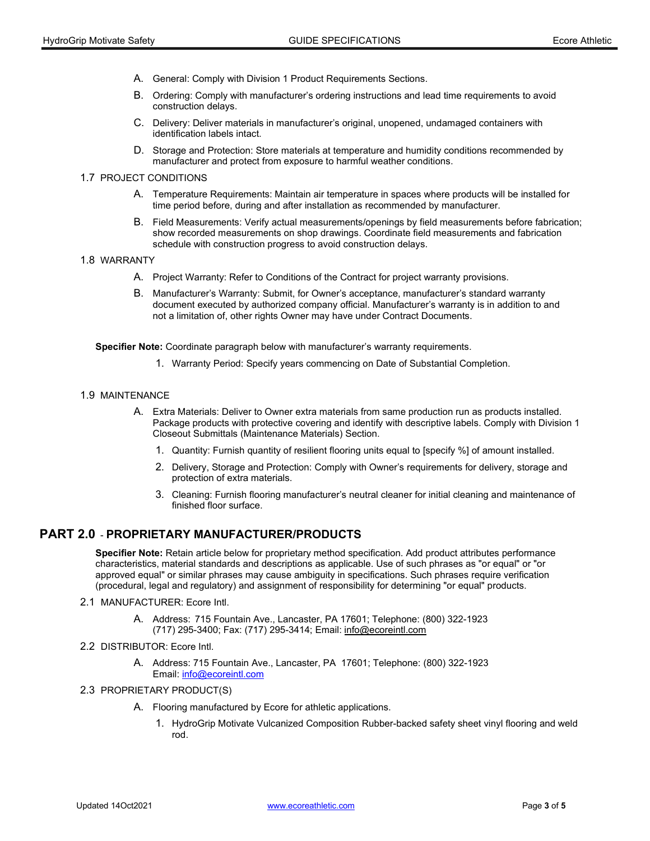- A. General: Comply with Division 1 Product Requirements Sections.
- B. Ordering: Comply with manufacturer's ordering instructions and lead time requirements to avoid construction delays.
- C. Delivery: Deliver materials in manufacturer's original, unopened, undamaged containers with identification labels intact.
- D. Storage and Protection: Store materials at temperature and humidity conditions recommended by manufacturer and protect from exposure to harmful weather conditions.

### 1.7 PROJECT CONDITIONS

- A. Temperature Requirements: Maintain air temperature in spaces where products will be installed for time period before, during and after installation as recommended by manufacturer.
- B. Field Measurements: Verify actual measurements/openings by field measurements before fabrication; show recorded measurements on shop drawings. Coordinate field measurements and fabrication schedule with construction progress to avoid construction delays.

#### 1.8 WARRANTY

- A. Project Warranty: Refer to Conditions of the Contract for project warranty provisions.
- B. Manufacturer's Warranty: Submit, for Owner's acceptance, manufacturer's standard warranty document executed by authorized company official. Manufacturer's warranty is in addition to and not a limitation of, other rights Owner may have under Contract Documents.

Specifier Note: Coordinate paragraph below with manufacturer's warranty requirements.

1. Warranty Period: Specify years commencing on Date of Substantial Completion.

### 1.9 MAINTENANCE

- A. Extra Materials: Deliver to Owner extra materials from same production run as products installed. Package products with protective covering and identify with descriptive labels. Comply with Division 1 Closeout Submittals (Maintenance Materials) Section.
	- 1. Quantity: Furnish quantity of resilient flooring units equal to [specify %] of amount installed.
	- 2. Delivery, Storage and Protection: Comply with Owner's requirements for delivery, storage and protection of extra materials.
	- 3. Cleaning: Furnish flooring manufacturer's neutral cleaner for initial cleaning and maintenance of finished floor surface.

# PART 2.0 - PROPRIETARY MANUFACTURER/PRODUCTS

Specifier Note: Retain article below for proprietary method specification. Add product attributes performance characteristics, material standards and descriptions as applicable. Use of such phrases as "or equal" or "or approved equal" or similar phrases may cause ambiguity in specifications. Such phrases require verification (procedural, legal and regulatory) and assignment of responsibility for determining "or equal" products.

### 2.1 MANUFACTURER: Ecore Intl.

- A. Address: 715 Fountain Ave., Lancaster, PA 17601; Telephone: (800) 322-1923 (717) 295-3400; Fax: (717) 295-3414; Email: info@ecoreintl.com
- 2.2 DISTRIBUTOR: Ecore Intl.
	- A. Address: 715 Fountain Ave., Lancaster, PA 17601; Telephone: (800) 322-1923 Email: info@ecoreintl.com

#### 2.3 PROPRIETARY PRODUCT(S)

- A. Flooring manufactured by Ecore for athletic applications.
	- 1. HydroGrip Motivate Vulcanized Composition Rubber-backed safety sheet vinyl flooring and weld rod.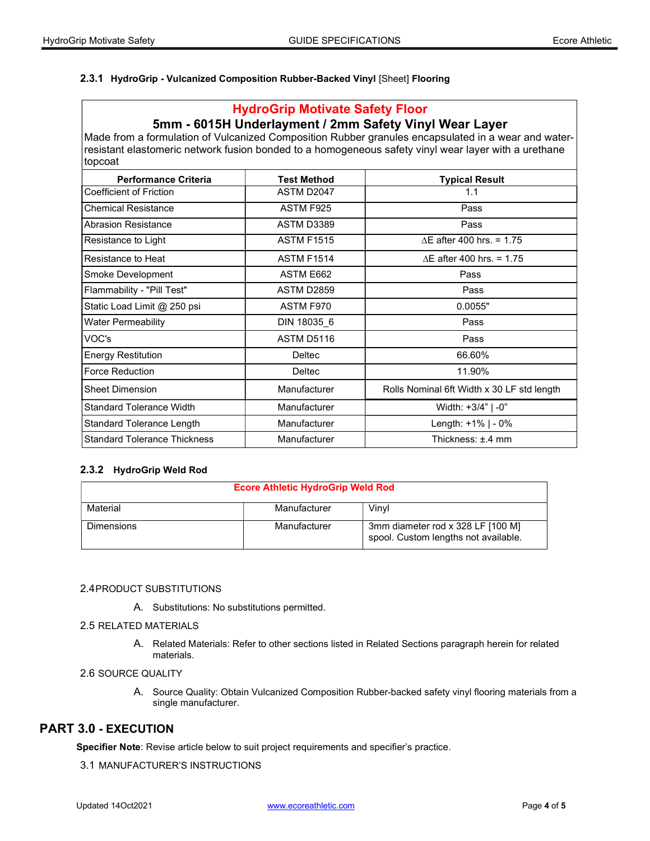## 2.3.1 HydroGrip - Vulcanized Composition Rubber-Backed Vinyl [Sheet] Flooring

# HydroGrip Motivate Safety Floor

# 5mm - 6015H Underlayment / 2mm Safety Vinyl Wear Layer

Made from a formulation of Vulcanized Composition Rubber granules encapsulated in a wear and waterresistant elastomeric network fusion bonded to a homogeneous safety vinyl wear layer with a urethane topcoat

| <b>Performance Criteria</b>         | <b>Test Method</b>  | <b>Typical Result</b>                      |
|-------------------------------------|---------------------|--------------------------------------------|
| Coefficient of Friction             | ASTM D2047          | 1.1                                        |
| <b>Chemical Resistance</b>          | ASTM F925           | Pass                                       |
| <b>Abrasion Resistance</b>          | ASTM D3389          | Pass                                       |
| Resistance to Light                 | <b>ASTM F1515</b>   | $\Delta$ E after 400 hrs. = 1.75           |
| Resistance to Heat                  | <b>ASTM F1514</b>   | $\Delta$ E after 400 hrs. = 1.75           |
| Smoke Development                   | ASTM E662           | Pass                                       |
| Flammability - "Pill Test"          | <b>ASTM D2859</b>   | Pass                                       |
| Static Load Limit @ 250 psi         | ASTM F970           | 0.0055"                                    |
| Water Permeability                  | DIN 18035_6         | Pass                                       |
| VOC's                               | ASTM D5116          | Pass                                       |
| <b>Energy Restitution</b>           | <b>Deltec</b>       | 66.60%                                     |
| <b>Force Reduction</b>              | <b>Deltec</b>       | 11.90%                                     |
| <b>Sheet Dimension</b>              | Manufacturer        | Rolls Nominal 6ft Width x 30 LF std length |
| <b>Standard Tolerance Width</b>     | <b>Manufacturer</b> | Width: +3/4"   -0"                         |
| <b>Standard Tolerance Length</b>    | <b>Manufacturer</b> | Length: $+1\%$   - 0%                      |
| <b>Standard Tolerance Thickness</b> | Manufacturer        | Thickness: ±.4 mm                          |

## 2.3.2 HydroGrip Weld Rod

| <b>Ecore Athletic HydroGrip Weld Rod</b> |              |                                                                           |
|------------------------------------------|--------------|---------------------------------------------------------------------------|
| Material                                 | Manufacturer | Vinvl                                                                     |
| <b>Dimensions</b>                        | Manufacturer | 3mm diameter rod x 328 LF [100 M]<br>spool. Custom lengths not available. |

## 2.4 PRODUCT SUBSTITUTIONS

A. Substitutions: No substitutions permitted.

### 2.5 RELATED MATERIALS

A. Related Materials: Refer to other sections listed in Related Sections paragraph herein for related materials.

## 2.6 SOURCE QUALITY

A. Source Quality: Obtain Vulcanized Composition Rubber-backed safety vinyl flooring materials from a single manufacturer.

# PART 3.0 - EXECUTION

Specifier Note: Revise article below to suit project requirements and specifier's practice.

## 3.1 MANUFACTURER'S INSTRUCTIONS